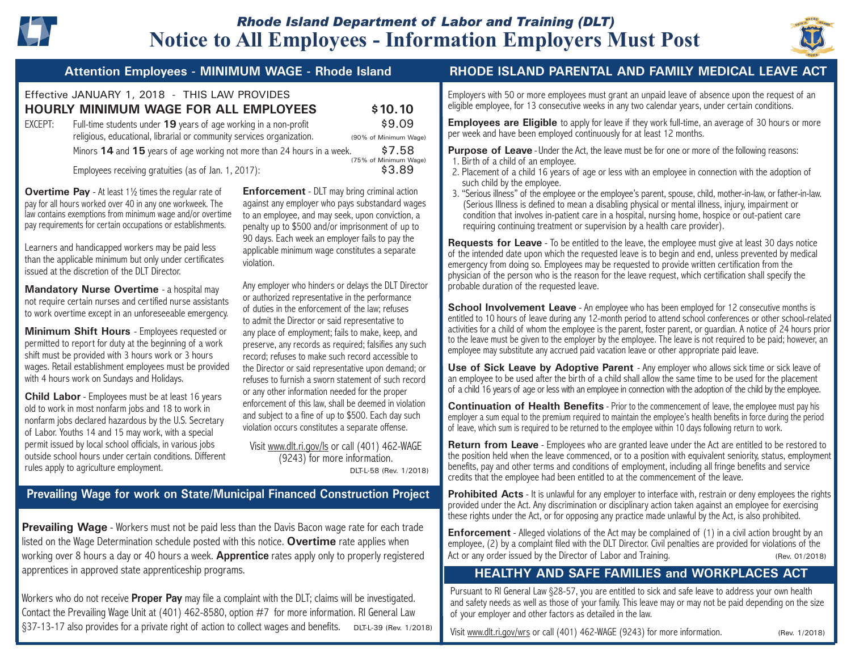

# **Notice to All Employees - Information Employers Must Post** *Rhode Island Department of Labor and Training (DLT)*



#### Ĩ Effective JANUARY 1, 2018 - THIS LAW PROVIDES **HOURLY MINIMUM WAGE FOR ALL EMPLOYEES \$10.10** EXCEPT: Full-time students under **19** years of age working in a non-profit \$9.09 religious, educational, librarial or community services organization. (90% of Minimum Wage) **Minors <b>14** and **15** years of age working not more than 24 hours in a week. \$7.58 (75% of Minimum Wage) Employees receiving gratuities (as of Jan. 1, 2017):  $$3.89$

**Overtime Pay** - At least 1<sup>1</sup>/<sub>2</sub> times the regular rate of pay for all hours worked over 40 in any one workweek. The law contains exemptions from minimum wage and/or overtime pay requirements for certain occupations or establishments.

Learners and handicapped workers may be paid less than the applicable minimum but only under certificates issued at the discretion of the DLT Director.

**Mandatory Nurse Overtime** - a hospital may not require certain nurses and certified nurse assistants to work overtime except in an unforeseeable emergency.

**Minimum Shift Hours** - Employees requested or permitted to report for duty at the beginning of a work shift must be provided with 3 hours work or 3 hours wages. Retail establishment employees must be provided with 4 hours work on Sundays and Holidays.

**Child Labor** - Employees must be at least 16 years old to work in most nonfarm jobs and 18 to work in nonfarm jobs declared hazardous by the U.S. Secretary of Labor. Youths 14 and 15 may work, with a special permit issued by local school officials, in various jobs outside school hours under certain conditions. Different rules apply to agriculture employment.

**Enforcement** - DLT may bring criminal action against any employer who pays substandard wages to an employee, and may seek, upon conviction, a penalty up to \$500 and/or imprisonment of up to 90 days. Each week an employer fails to pay the applicable minimum wage constitutes a separate violation.

Any employer who hinders or delays the DLT Director or authorized representative in the performance of duties in the enforcement of the law; refuses to admit the Director or said representative to any place of employment; fails to make, keep, and preserve, any records as required; falsifies any such record; refuses to make such record accessible to the Director or said representative upon demand; or refuses to furnish a sworn statement of such record or any other information needed for the proper enforcement of this law, shall be deemed in violation and subject to a fine of up to \$500. Each day such violation occurs constitutes a separate offense.

Visit www.dlt.ri.gov/ls or call (401) 462-WAGE (9243) for more information.

DLT-L-58 (Rev. 1/2018)

# **Prevailing Wage for work on State/Municipal Financed Construction Project**

**Prevailing Wage** - Workers must not be paid less than the Davis Bacon wage rate for each trade listed on the Wage Determination schedule posted with this notice. **Overtime** rate applies when working over 8 hours a day or 40 hours a week. **Apprentice** rates apply only to properly registered apprentices in approved state apprenticeship programs.

Workers who do not receive **Proper Pay** may file a complaint with the DLT; claims will be investigated. Contact the Prevailing Wage Unit at (401) 462-8580, option #7 for more information. RI General Law §37-13-17 also provides for a private right of action to collect wages and benefits. DLT-L-39 (Rev. 1/2018)

# **Attention Employees - MINIMUM WAGE - Rhode Island RHODE ISLAND PARENTAL AND FAMILY MEDICAL LEAVE ACT**

Employers with 50 or more employees must grant an unpaid leave of absence upon the request of an eligible employee, for 13 consecutive weeks in any two calendar years, under certain conditions.

**Employees are Eligible** to apply for leave if they work full-time, an average of 30 hours or more per week and have been employed continuously for at least 12 months.

**Purpose of Leave** - Under the Act, the leave must be for one or more of the following reasons: 1. Birth of a child of an employee.

- 2. Placement of a child 16 years of age or less with an employee in connection with the adoption of such child by the employee.
- 3. "Serious illness" of the employee or the employee's parent, spouse, child, mother-in-law, or father-in-law. (Serious Illness is defined to mean a disabling physical or mental illness, injury, impairment or condition that involves in-patient care in a hospital, nursing home, hospice or out-patient care requiring continuing treatment or supervision by a health care provider).

**Requests for Leave** - To be entitled to the leave, the employee must give at least 30 days notice of the intended date upon which the requested leave is to begin and end, unless prevented by medical emergency from doing so. Employees may be requested to provide written certification from the physician of the person who is the reason for the leave request, which certification shall specify the probable duration of the requested leave.

**School Involvement Leave** - An employee who has been employed for 12 consecutive months is entitled to 10 hours of leave during any 12-month period to attend school conferences or other school-related activities for a child of whom the employee is the parent, foster parent, or guardian. A notice of 24 hours prior to the leave must be given to the employer by the employee. The leave is not required to be paid; however, an employee may substitute any accrued paid vacation leave or other appropriate paid leave.

**Use of Sick Leave by Adoptive Parent** - Any employer who allows sick time or sick leave of an employee to be used after the birth of a child shall allow the same time to be used for the placement of a child 16 years of age or less with an employee in connection with the adoption of the child by the employee.

**Continuation of Health Benefits** - Prior to the commencement of leave, the employee must pay his employer a sum equal to the premium required to maintain the employee's health benefits in force during the period of leave, which sum is required to be returned to the employee within 10 days following return to work.

**Return from Leave** - Employees who are granted leave under the Act are entitled to be restored to the position held when the leave commenced, or to a position with equivalent seniority, status, employment benefits, pay and other terms and conditions of employment, including all fringe benefits and service credits that the employee had been entitled to at the commencement of the leave.

**Prohibited Acts** - It is unlawful for any employer to interface with, restrain or deny employees the rights provided under the Act. Any discrimination or disciplinary action taken against an employee for exercising these rights under the Act, or for opposing any practice made unlawful by the Act, is also prohibited.

**Enforcement** - Alleged violations of the Act may be complained of (1) in a civil action brought by an employee, (2) by a complaint filed with the DLT Director. Civil penalties are provided for violations of the Act or any order issued by the Director of Labor and Training. (Rev. 01/2018)

# **HEALTHY AND SAFE FAMILIES and WORKPLACES ACT**

Pursuant to RI General Law §28-57, you are entitled to sick and safe leave to address your own health and safety needs as well as those of your family. This leave may or may not be paid depending on the size of your employer and other factors as detailed in the law.

Visit www.dlt.ri.gov/wrs or call (401) 462-WAGE (9243) for more information. (Rev. 1/2018)